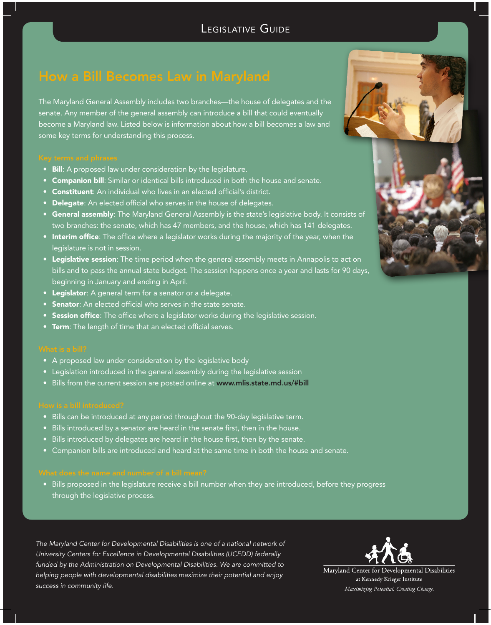The Maryland General Assembly includes two branches—the house of delegates and the senate. Any member of the general assembly can introduce a bill that could eventually become a Maryland law. Listed below is information about how a bill becomes a law and some key terms for understanding this process.

- Bill: A proposed law under consideration by the legislature.
- **Companion bill:** Similar or identical bills introduced in both the house and senate.
- Constituent: An individual who lives in an elected official's district.
- Delegate: An elected official who serves in the house of delegates.
- **General assembly**: The Maryland General Assembly is the state's legislative body. It consists of two branches: the senate, which has 47 members, and the house, which has 141 delegates.
- Interim office: The office where a legislator works during the majority of the year, when the legislature is not in session.
- Legislative session: The time period when the general assembly meets in Annapolis to act on bills and to pass the annual state budget. The session happens once a year and lasts for 90 days, beginning in January and ending in April.
- Legislator: A general term for a senator or a delegate.
- **Senator:** An elected official who serves in the state senate.
- Session office: The office where a legislator works during the legislative session.
- Term: The length of time that an elected official serves.

- A proposed law under consideration by the legislative body
- Legislation introduced in the general assembly during the legislative session
- Bills from the current session are posted online at www.mlis.state.md.us/#bill

- Bills can be introduced at any period throughout the 90-day legislative term.
- Bills introduced by a senator are heard in the senate first, then in the house.
- Bills introduced by delegates are heard in the house first, then by the senate.
- • Companion bills are introduced and heard at the same time in both the house and senate.

• Bills proposed in the legislature receive a bill number when they are introduced, before they progress through the legislative process.

*The Maryland Center for Developmental Disabilities is one of a national network of University Centers for Excellence in Developmental Disabilities (UCEDD) federally funded by the Administration on Developmental Disabilities. We are committed to helping people with developmental disabilities maximize their potential and enjoy success in community life.*



Maryland Center for Developmental Disabilities at Kennedy Krieger Institute Maximizing Potential. Creating Change.